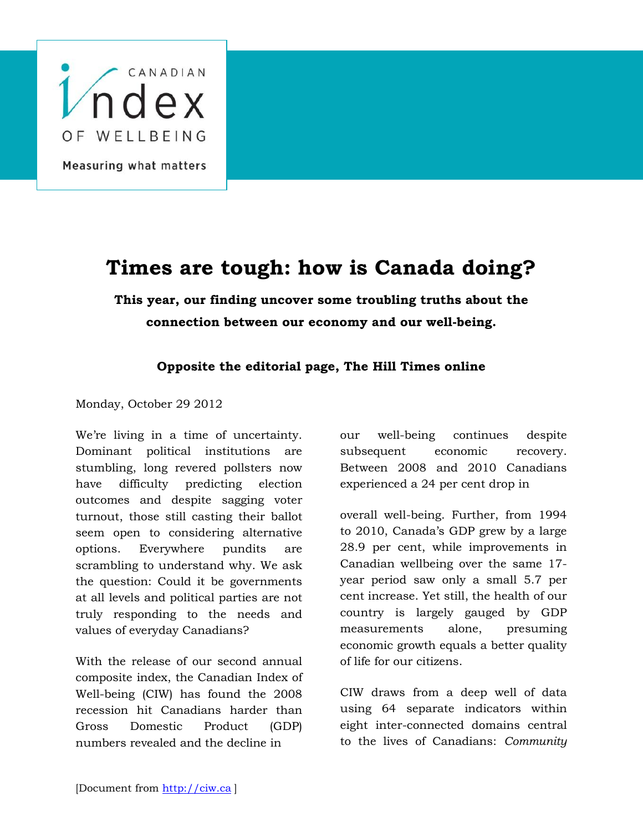

## **Times are tough: how is Canada doing?**

**This year, our finding uncover some troubling truths about the connection between our economy and our well-being.**

## **Opposite the editorial page, The Hill Times online**

Monday, October 29 2012

We're living in a time of uncertainty. Dominant political institutions are stumbling, long revered pollsters now have difficulty predicting election outcomes and despite sagging voter turnout, those still casting their ballot seem open to considering alternative options. Everywhere pundits are scrambling to understand why. We ask the question: Could it be governments at all levels and political parties are not truly responding to the needs and values of everyday Canadians?

With the release of our second annual composite index, the Canadian Index of Well-being (CIW) has found the 2008 recession hit Canadians harder than Gross Domestic Product (GDP) numbers revealed and the decline in

our well-being continues despite subsequent economic recovery. Between 2008 and 2010 Canadians experienced a 24 per cent drop in

overall well-being. Further, from 1994 to 2010, Canada's GDP grew by a large 28.9 per cent, while improvements in Canadian wellbeing over the same 17 year period saw only a small 5.7 per cent increase. Yet still, the health of our country is largely gauged by GDP measurements alone, presuming economic growth equals a better quality of life for our citizens.

CIW draws from a deep well of data using 64 separate indicators within eight inter-connected domains central to the lives of Canadians: *Community*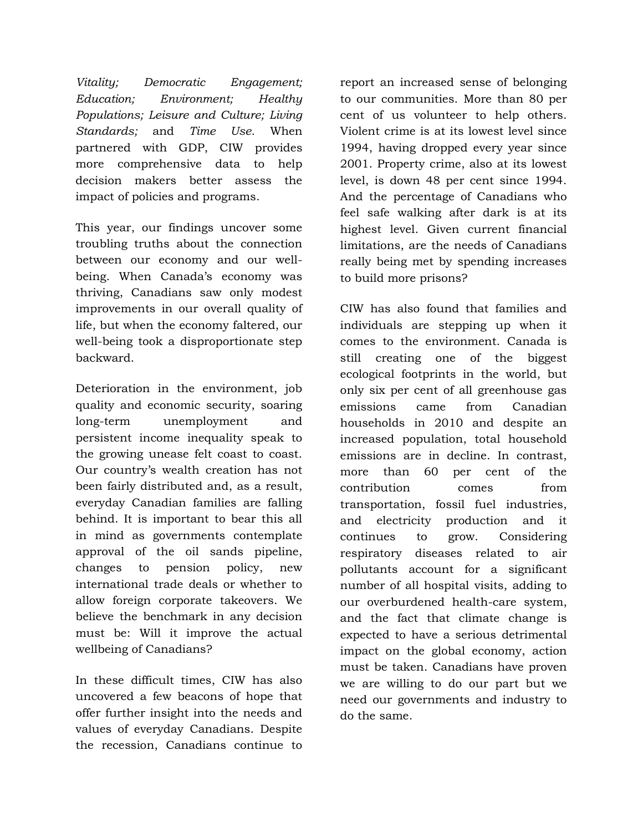*Vitality; Democratic Engagement; Education; Environment; Healthy Populations; Leisure and Culture; Living Standards;* and *Time Use.* When partnered with GDP, CIW provides more comprehensive data to help decision makers better assess the impact of policies and programs.

This year, our findings uncover some troubling truths about the connection between our economy and our wellbeing. When Canada's economy was thriving, Canadians saw only modest improvements in our overall quality of life, but when the economy faltered, our well-being took a disproportionate step backward.

Deterioration in the environment, job quality and economic security, soaring long-term unemployment and persistent income inequality speak to the growing unease felt coast to coast. Our country's wealth creation has not been fairly distributed and, as a result, everyday Canadian families are falling behind. It is important to bear this all in mind as governments contemplate approval of the oil sands pipeline, changes to pension policy, new international trade deals or whether to allow foreign corporate takeovers. We believe the benchmark in any decision must be: Will it improve the actual wellbeing of Canadians?

In these difficult times, CIW has also uncovered a few beacons of hope that offer further insight into the needs and values of everyday Canadians. Despite the recession, Canadians continue to

report an increased sense of belonging to our communities. More than 80 per cent of us volunteer to help others. Violent crime is at its lowest level since 1994, having dropped every year since 2001. Property crime, also at its lowest level, is down 48 per cent since 1994. And the percentage of Canadians who feel safe walking after dark is at its highest level. Given current financial limitations, are the needs of Canadians really being met by spending increases to build more prisons?

CIW has also found that families and individuals are stepping up when it comes to the environment. Canada is still creating one of the biggest ecological footprints in the world, but only six per cent of all greenhouse gas emissions came from Canadian households in 2010 and despite an increased population, total household emissions are in decline. In contrast, more than 60 per cent of the contribution comes from transportation, fossil fuel industries, and electricity production and it continues to grow. Considering respiratory diseases related to air pollutants account for a significant number of all hospital visits, adding to our overburdened health-care system, and the fact that climate change is expected to have a serious detrimental impact on the global economy, action must be taken. Canadians have proven we are willing to do our part but we need our governments and industry to do the same.